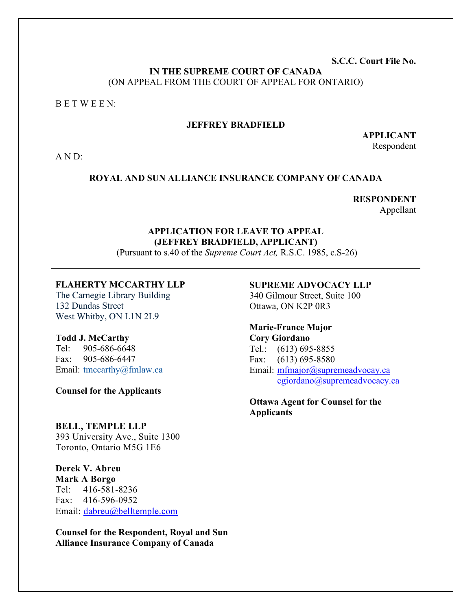**S.C.C. Court File No.**

# **IN THE SUPREME COURT OF CANADA** (ON APPEAL FROM THE COURT OF APPEAL FOR ONTARIO)

B E T W E E N:

# **JEFFREY BRADFIELD**

**APPLICANT** Respondent

 $A \, N \, D$ :

### **ROYAL AND SUN ALLIANCE INSURANCE COMPANY OF CANADA**

**RESPONDENT**  Appellant

# **APPLICATION FOR LEAVE TO APPEAL (JEFFREY BRADFIELD, APPLICANT)**

(Pursuant to s.40 of the *Supreme Court Act,* R.S.C. 1985, c.S-26)

### **[FLAHERTY MCCARTHY LLP](https://app.clio.com/nc/#/contacts/v1/901839405)**

The Carnegie Library Building 132 Dundas Street West Whitby, ON L1N 2L9

#### **Todd J. McCarthy**

Tel: 905-686-6648 Fax: 905-686-6447 Email: tmccarthy@fmlaw.ca

**Counsel for the Applicants**

#### **[BELL, TEMPLE LLP](https://www.canadianlawlist.com/listingdetail/company/bell-temple-llp-688662/)**

393 University Ave., Suite 1300 Toronto, Ontario M5G 1E6

**Derek V. Abreu Mark A Borgo**  Tel: 416-581-8236 Fax: 416-596-0952 Email: [dabreu@belltemple.com](mailto:dabreu@belltemple.com)

**Counsel for the Respondent, Royal and Sun Alliance Insurance Company of Canada** 

# **SUPREME ADVOCACY LLP**

340 Gilmour Street, Suite 100 Ottawa, ON K2P 0R3

**Marie-France Major Cory Giordano**  Tel.: (613) 695-8855 Fax: (613) 695-8580 Email: [mfmajor@supremeadvocay.ca](mailto:mfmajor@supremeadvocay.ca) [cgiordano@supremeadvocacy.ca](mailto:cgiordano@supremeadvocacy.ca)

**Ottawa Agent for Counsel for the Applicants**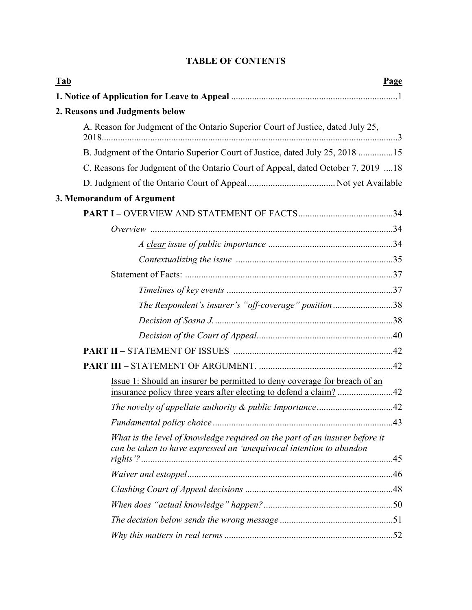| <b>Tab</b>                                                                                                                                         | Page |
|----------------------------------------------------------------------------------------------------------------------------------------------------|------|
|                                                                                                                                                    |      |
| 2. Reasons and Judgments below                                                                                                                     |      |
| A. Reason for Judgment of the Ontario Superior Court of Justice, dated July 25,                                                                    |      |
| B. Judgment of the Ontario Superior Court of Justice, dated July 25, 2018 15                                                                       |      |
| C. Reasons for Judgment of the Ontario Court of Appeal, dated October 7, 2019  18                                                                  |      |
|                                                                                                                                                    |      |
| 3. Memorandum of Argument                                                                                                                          |      |
|                                                                                                                                                    |      |
|                                                                                                                                                    |      |
|                                                                                                                                                    |      |
|                                                                                                                                                    |      |
|                                                                                                                                                    |      |
|                                                                                                                                                    |      |
| The Respondent's insurer's "off-coverage" position38                                                                                               |      |
|                                                                                                                                                    |      |
|                                                                                                                                                    |      |
|                                                                                                                                                    |      |
|                                                                                                                                                    |      |
| Issue 1: Should an insurer be permitted to deny coverage for breach of an<br>insurance policy three years after electing to defend a claim? 42     |      |
|                                                                                                                                                    |      |
|                                                                                                                                                    |      |
| What is the level of knowledge required on the part of an insurer before it<br>can be taken to have expressed an 'unequivocal intention to abandon |      |
|                                                                                                                                                    |      |
|                                                                                                                                                    |      |
|                                                                                                                                                    |      |
|                                                                                                                                                    |      |
|                                                                                                                                                    |      |

# **TABLE OF CONTENTS**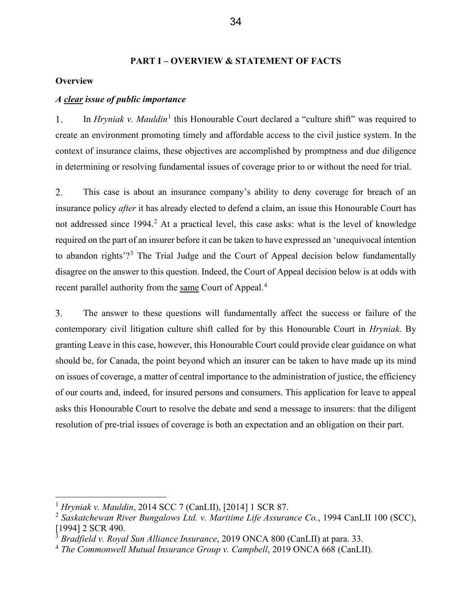#### **PART I – OVERVIEW & STATEMENT OF FACTS**

### **Overview**

#### *A clear issue of public importance*

In *Hryniak v. Mauldin*<sup>[1](#page-3-0)</sup> this Honourable Court declared a "culture shift" was required to 1. create an environment promoting timely and affordable access to the civil justice system. In the context of insurance claims, these objectives are accomplished by promptness and due diligence in determining or resolving fundamental issues of coverage prior to or without the need for trial.

 $2.$ This case is about an insurance company's ability to deny coverage for breach of an insurance policy *after* it has already elected to defend a claim, an issue this Honourable Court has not addressed since 1994.<sup>[2](#page-3-1)</sup> At a practical level, this case asks: what is the level of knowledge required on the part of an insurer before it can be taken to have expressed an 'unequivocal intention to abandon rights'?<sup>[3](#page-3-2)</sup> The Trial Judge and the Court of Appeal decision below fundamentally disagree on the answer to this question. Indeed, the Court of Appeal decision below is at odds with recent parallel authority from the same Court of Appeal.<sup>[4](#page-3-3)</sup>

3. The answer to these questions will fundamentally affect the success or failure of the contemporary civil litigation culture shift called for by this Honourable Court in *Hryniak*. By granting Leave in this case, however, this Honourable Court could provide clear guidance on what should be, for Canada, the point beyond which an insurer can be taken to have made up its mind on issues of coverage, a matter of central importance to the administration of justice, the efficiency of our courts and, indeed, for insured persons and consumers. This application for leave to appeal asks this Honourable Court to resolve the debate and send a message to insurers: that the diligent resolution of pre-trial issues of coverage is both an expectation and an obligation on their part.

<span id="page-3-0"></span><sup>1</sup> *Hryniak v. Mauldin*, 2014 SCC 7 (CanLII), [2014] 1 SCR 87.

<span id="page-3-1"></span><sup>2</sup> *Saskatchewan River Bungalows Ltd. v. Maritime Life Assurance Co.*, 1994 CanLII 100 (SCC), [1994] 2 SCR 490.

<span id="page-3-2"></span><sup>3</sup> *Bradfield v. Royal Sun Alliance Insurance*, 2019 ONCA 800 (CanLII) at para. 33.

<span id="page-3-3"></span><sup>4</sup> *The Commonwell Mutual Insurance Group v. Campbell*, 2019 ONCA 668 (CanLII).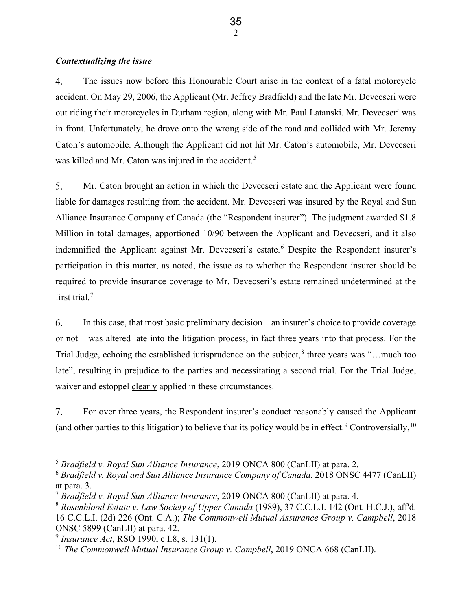$4.$ The issues now before this Honourable Court arise in the context of a fatal motorcycle accident. On May 29, 2006, the Applicant (Mr. Jeffrey Bradfield) and the late Mr. Devecseri were out riding their motorcycles in Durham region, along with Mr. Paul Latanski. Mr. Devecseri was in front. Unfortunately, he drove onto the wrong side of the road and collided with Mr. Jeremy Caton's automobile. Although the Applicant did not hit Mr. Caton's automobile, Mr. Devecseri was killed and Mr. Caton was injured in the accident.<sup>[5](#page-4-0)</sup>

5. Mr. Caton brought an action in which the Devecseri estate and the Applicant were found liable for damages resulting from the accident. Mr. Devecseri was insured by the Royal and Sun Alliance Insurance Company of Canada (the "Respondent insurer"). The judgment awarded \$1.8 Million in total damages, apportioned 10/90 between the Applicant and Devecseri, and it also indemnified the Applicant against Mr. Devecseri's estate.<sup>[6](#page-4-1)</sup> Despite the Respondent insurer's participation in this matter, as noted, the issue as to whether the Respondent insurer should be required to provide insurance coverage to Mr. Devecseri's estate remained undetermined at the first trial.<sup>[7](#page-4-2)</sup>

6. In this case, that most basic preliminary decision – an insurer's choice to provide coverage or not – was altered late into the litigation process, in fact three years into that process. For the Trial Judge, echoing the established jurisprudence on the subject,  $\delta$  three years was "... much too late", resulting in prejudice to the parties and necessitating a second trial. For the Trial Judge, waiver and estoppel clearly applied in these circumstances.

7. For over three years, the Respondent insurer's conduct reasonably caused the Applicant (and other parties to this litigation) to believe that its policy would be in effect.<sup>[9](#page-4-4)</sup> Controversially,  $^{10}$  $^{10}$  $^{10}$ 

<span id="page-4-0"></span><sup>5</sup> *Bradfield v. Royal Sun Alliance Insurance*, 2019 ONCA 800 (CanLII) at para. 2.

<span id="page-4-1"></span><sup>6</sup> *Bradfield v. Royal and Sun Alliance Insurance Company of Canada*, 2018 ONSC 4477 (CanLII) at para. 3.

<span id="page-4-2"></span><sup>7</sup> *Bradfield v. Royal Sun Alliance Insurance*, 2019 ONCA 800 (CanLII) at para. 4.

<span id="page-4-3"></span><sup>8</sup> *Rosenblood Estate v. Law Society of Upper Canada* (1989), 37 C.C.L.I. 142 (Ont. H.C.J.), aff'd. 16 C.C.L.I. (2d) 226 (Ont. C.A.); *The Commonwell Mutual Assurance Group v. Campbell*, 2018 ONSC 5899 (CanLII) at para. 42.

<span id="page-4-4"></span><sup>9</sup> *Insurance Act*, RSO 1990, c I.8, s. 131(1).

<span id="page-4-5"></span><sup>&</sup>lt;sup>10</sup> *The Commonwell Mutual Insurance Group v. Campbell*, 2019 ONCA 668 (CanLII).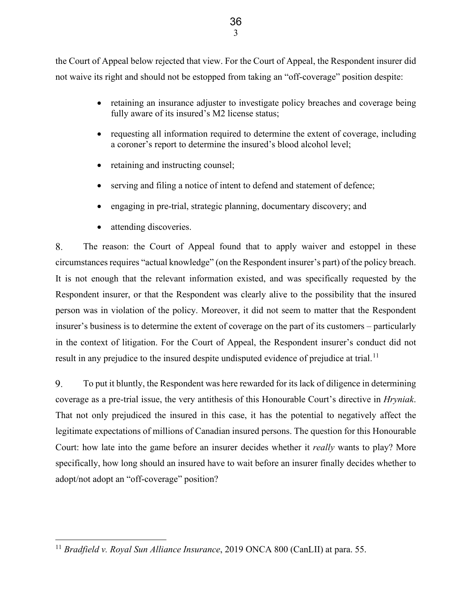the Court of Appeal below rejected that view. For the Court of Appeal, the Respondent insurer did not waive its right and should not be estopped from taking an "off-coverage" position despite:

- retaining an insurance adjuster to investigate policy breaches and coverage being fully aware of its insured's M2 license status;
- requesting all information required to determine the extent of coverage, including a coroner's report to determine the insured's blood alcohol level;
- retaining and instructing counsel;
- serving and filing a notice of intent to defend and statement of defence;
- engaging in pre-trial, strategic planning, documentary discovery; and
- attending discoveries.

8. The reason: the Court of Appeal found that to apply waiver and estoppel in these circumstances requires "actual knowledge" (on the Respondent insurer's part) of the policy breach. It is not enough that the relevant information existed, and was specifically requested by the Respondent insurer, or that the Respondent was clearly alive to the possibility that the insured person was in violation of the policy. Moreover, it did not seem to matter that the Respondent insurer's business is to determine the extent of coverage on the part of its customers – particularly in the context of litigation. For the Court of Appeal, the Respondent insurer's conduct did not result in any prejudice to the insured despite undisputed evidence of prejudice at trial.<sup>[11](#page-5-0)</sup>

9. To put it bluntly, the Respondent was here rewarded for its lack of diligence in determining coverage as a pre-trial issue, the very antithesis of this Honourable Court's directive in *Hryniak*. That not only prejudiced the insured in this case, it has the potential to negatively affect the legitimate expectations of millions of Canadian insured persons. The question for this Honourable Court: how late into the game before an insurer decides whether it *really* wants to play? More specifically, how long should an insured have to wait before an insurer finally decides whether to adopt/not adopt an "off-coverage" position?

<span id="page-5-0"></span><sup>11</sup> *Bradfield v. Royal Sun Alliance Insurance*, 2019 ONCA 800 (CanLII) at para. 55.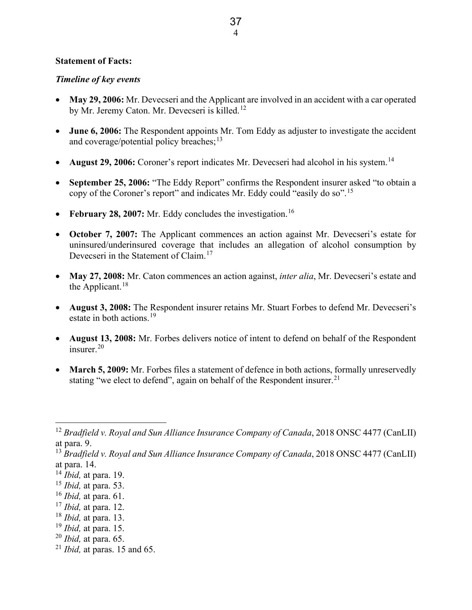### **Statement of Facts:**

#### *Timeline of key events*

- May 29, 2006: Mr. Devecseri and the Applicant are involved in an accident with a car operated by Mr. Jeremy Caton. Mr. Devecseri is killed.<sup>[12](#page-6-0)</sup>
- **June 6, 2006:** The Respondent appoints Mr. Tom Eddy as adjuster to investigate the accident and coverage/potential policy breaches;  $^{13}$  $^{13}$  $^{13}$
- **August 29, 2006:** Coroner's report indicates Mr. Devecseri had alcohol in his system.<sup>[14](#page-6-2)</sup>
- **September 25, 2006:** "The Eddy Report" confirms the Respondent insurer asked "to obtain a copy of the Coroner's report" and indicates Mr. Eddy could "easily do so".<sup>[15](#page-6-3)</sup>
- **February 28, 2007:** Mr. Eddy concludes the investigation.<sup>[16](#page-6-4)</sup>
- **October 7, 2007:** The Applicant commences an action against Mr. Devecseri's estate for uninsured/underinsured coverage that includes an allegation of alcohol consumption by Devecseri in the Statement of Claim.<sup>[17](#page-6-5)</sup>
- **May 27, 2008:** Mr. Caton commences an action against, *inter alia*, Mr. Devecseri's estate and the Applicant.<sup>[18](#page-6-6)</sup>
- **August 3, 2008:** The Respondent insurer retains Mr. Stuart Forbes to defend Mr. Devecseri's estate in both actions.<sup>[19](#page-6-7)</sup>
- **August 13, 2008:** Mr. Forbes delivers notice of intent to defend on behalf of the Respondent insurer.<sup>[20](#page-6-8)</sup>
- **March 5, 2009:** Mr. Forbes files a statement of defence in both actions, formally unreservedly stating "we elect to defend", again on behalf of the Respondent insurer.<sup>[21](#page-6-9)</sup>

- <span id="page-6-4"></span><sup>16</sup> *Ibid,* at para. 61.
- <span id="page-6-5"></span><sup>17</sup> *Ibid,* at para. 12.
- <span id="page-6-6"></span><sup>18</sup> *Ibid,* at para. 13.
- <span id="page-6-7"></span><sup>19</sup> *Ibid,* at para. 15.
- <span id="page-6-8"></span><sup>20</sup> *Ibid,* at para. 65.

<span id="page-6-0"></span><sup>&</sup>lt;sup>12</sup> *Bradfield v. Royal and Sun Alliance Insurance Company of Canada*, 2018 ONSC 4477 (CanLII) at para. 9.

<span id="page-6-1"></span><sup>&</sup>lt;sup>13</sup> *Bradfield v. Royal and Sun Alliance Insurance Company of Canada*, 2018 ONSC 4477 (CanLII) at para. 14.

<span id="page-6-2"></span><sup>14</sup> *Ibid,* at para. 19.

<span id="page-6-3"></span><sup>15</sup> *Ibid,* at para. 53.

<span id="page-6-9"></span><sup>21</sup> *Ibid,* at paras. 15 and 65.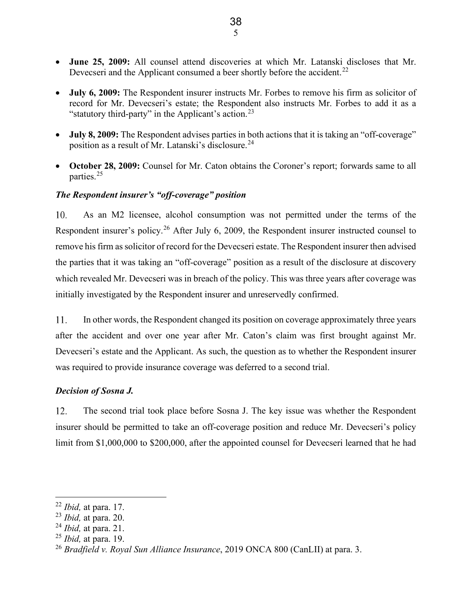- **June 25, 2009:** All counsel attend discoveries at which Mr. Latanski discloses that Mr. Devecseri and the Applicant consumed a beer shortly before the accident.<sup>[22](#page-7-0)</sup>
- **July 6, 2009:** The Respondent insurer instructs Mr. Forbes to remove his firm as solicitor of record for Mr. Devecseri's estate; the Respondent also instructs Mr. Forbes to add it as a "statutory third-party" in the Applicant's action.<sup>[23](#page-7-1)</sup>
- **July 8, 2009:** The Respondent advises parties in both actions that it is taking an "off-coverage" position as a result of Mr. Latanski's disclosure.<sup>[24](#page-7-2)</sup>
- **October 28, 2009:** Counsel for Mr. Caton obtains the Coroner's report; forwards same to all parties.<sup>[25](#page-7-3)</sup>

# *The Respondent insurer's "off-coverage" position*

10. As an M2 licensee, alcohol consumption was not permitted under the terms of the Respondent insurer's policy.<sup>[26](#page-7-4)</sup> After July 6, 2009, the Respondent insurer instructed counsel to remove his firm as solicitor of record for the Devecseri estate. The Respondent insurer then advised the parties that it was taking an "off-coverage" position as a result of the disclosure at discovery which revealed Mr. Devecseri was in breach of the policy. This was three years after coverage was initially investigated by the Respondent insurer and unreservedly confirmed.

In other words, the Respondent changed its position on coverage approximately three years  $11.$ after the accident and over one year after Mr. Caton's claim was first brought against Mr. Devecseri's estate and the Applicant. As such, the question as to whether the Respondent insurer was required to provide insurance coverage was deferred to a second trial.

### *Decision of Sosna J.*

12. The second trial took place before Sosna J. The key issue was whether the Respondent insurer should be permitted to take an off-coverage position and reduce Mr. Devecseri's policy limit from \$1,000,000 to \$200,000, after the appointed counsel for Devecseri learned that he had

<span id="page-7-0"></span><sup>22</sup> *Ibid,* at para. 17.

<span id="page-7-1"></span><sup>23</sup> *Ibid,* at para. 20.

<span id="page-7-2"></span><sup>24</sup> *Ibid,* at para. 21.

<span id="page-7-3"></span><sup>25</sup> *Ibid,* at para. 19.

<span id="page-7-4"></span><sup>26</sup> *Bradfield v. Royal Sun Alliance Insurance*, 2019 ONCA 800 (CanLII) at para. 3.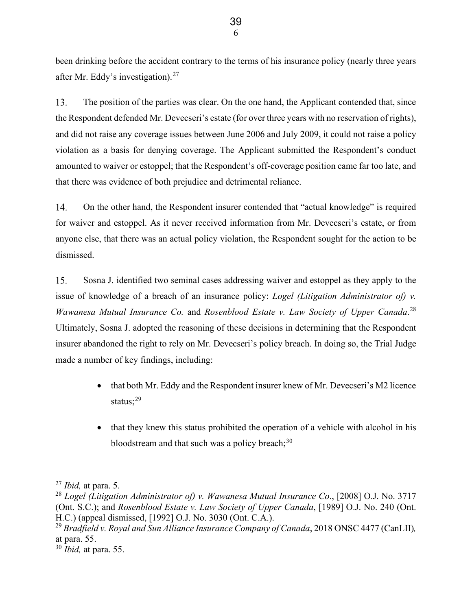been drinking before the accident contrary to the terms of his insurance policy (nearly three years after Mr. Eddy's investigation).<sup>[27](#page-8-0)</sup>

13. The position of the parties was clear. On the one hand, the Applicant contended that, since the Respondent defended Mr. Devecseri's estate (for over three years with no reservation of rights), and did not raise any coverage issues between June 2006 and July 2009, it could not raise a policy violation as a basis for denying coverage. The Applicant submitted the Respondent's conduct amounted to waiver or estoppel; that the Respondent's off-coverage position came far too late, and that there was evidence of both prejudice and detrimental reliance.

14. On the other hand, the Respondent insurer contended that "actual knowledge" is required for waiver and estoppel. As it never received information from Mr. Devecseri's estate, or from anyone else, that there was an actual policy violation, the Respondent sought for the action to be dismissed.

15. Sosna J. identified two seminal cases addressing waiver and estoppel as they apply to the issue of knowledge of a breach of an insurance policy: *Logel (Litigation Administrator of) v. Wawanesa Mutual Insurance Co.* and *Rosenblood Estate v. Law Society of Upper Canada*. [28](#page-8-1) Ultimately, Sosna J. adopted the reasoning of these decisions in determining that the Respondent insurer abandoned the right to rely on Mr. Devecseri's policy breach. In doing so, the Trial Judge made a number of key findings, including:

- that both Mr. Eddy and the Respondent insurer knew of Mr. Devecseri's M2 licence status; $^{29}$  $^{29}$  $^{29}$
- that they knew this status prohibited the operation of a vehicle with alcohol in his bloodstream and that such was a policy breach; $30$

<span id="page-8-0"></span><sup>27</sup> *Ibid,* at para. 5.

<span id="page-8-1"></span><sup>28</sup> *Logel (Litigation Administrator of) v. Wawanesa Mutual Insurance Co*., [2008] O.J. No. 3717 (Ont. S.C.); and *Rosenblood Estate v. Law Society of Upper Canada*, [1989] O.J. No. 240 (Ont. H.C.) (appeal dismissed, [1992] O.J. No. 3030 (Ont. C.A.).

<span id="page-8-2"></span><sup>&</sup>lt;sup>29</sup> Bradfield v. Royal and Sun Alliance Insurance Company of Canada, 2018 ONSC 4477 (CanLII), at para. 55.

<span id="page-8-3"></span><sup>30</sup> *Ibid,* at para. 55.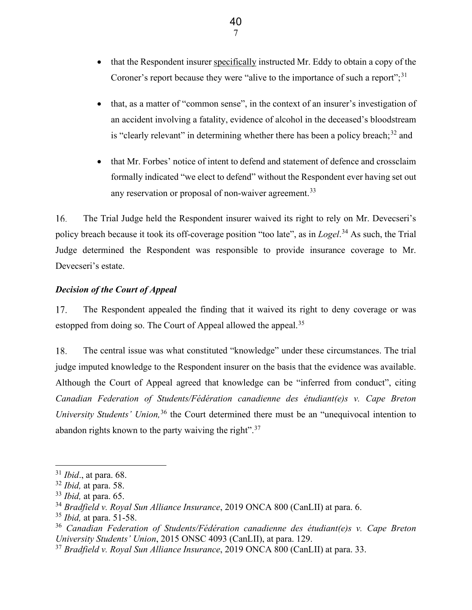- that the Respondent insurer specifically instructed Mr. Eddy to obtain a copy of the Coroner's report because they were "alive to the importance of such a report";<sup>[31](#page-9-0)</sup>
- that, as a matter of "common sense", in the context of an insurer's investigation of an accident involving a fatality, evidence of alcohol in the deceased's bloodstream is "clearly relevant" in determining whether there has been a policy breach; $32$  and
- that Mr. Forbes' notice of intent to defend and statement of defence and crossclaim formally indicated "we elect to defend" without the Respondent ever having set out any reservation or proposal of non-waiver agreement.<sup>[33](#page-9-2)</sup>

16. The Trial Judge held the Respondent insurer waived its right to rely on Mr. Devecseri's policy breach because it took its off-coverage position "too late", as in *Logel*. [34](#page-9-3) As such, the Trial Judge determined the Respondent was responsible to provide insurance coverage to Mr. Devecseri's estate.

# *Decision of the Court of Appeal*

The Respondent appealed the finding that it waived its right to deny coverage or was 17. estopped from doing so. The Court of Appeal allowed the appeal.<sup>[35](#page-9-4)</sup>

The central issue was what constituted "knowledge" under these circumstances. The trial 18. judge imputed knowledge to the Respondent insurer on the basis that the evidence was available. Although the Court of Appeal agreed that knowledge can be "inferred from conduct", citing *Canadian Federation of Students/Fédération canadienne des étudiant(e)s v. Cape Breton University Students' Union*,<sup>[36](#page-9-5)</sup> the Court determined there must be an "unequivocal intention to abandon rights known to the party waiving the right".<sup>[37](#page-9-6)</sup>

<span id="page-9-0"></span><sup>31</sup> *Ibid*., at para. 68.

<span id="page-9-1"></span><sup>32</sup> *Ibid,* at para. 58.

<span id="page-9-2"></span><sup>33</sup> *Ibid,* at para. 65.

<span id="page-9-3"></span><sup>34</sup> *Bradfield v. Royal Sun Alliance Insurance*, 2019 ONCA 800 (CanLII) at para. 6.

<span id="page-9-4"></span><sup>35</sup> *Ibid,* at para. 51-58.

<span id="page-9-5"></span><sup>36</sup> *Canadian Federation of Students/Fédération canadienne des étudiant(e)s v. Cape Breton University Students' Union*, 2015 ONSC 4093 (CanLII), at para. 129.

<span id="page-9-6"></span><sup>37</sup> *Bradfield v. Royal Sun Alliance Insurance*, 2019 ONCA 800 (CanLII) at para. 33.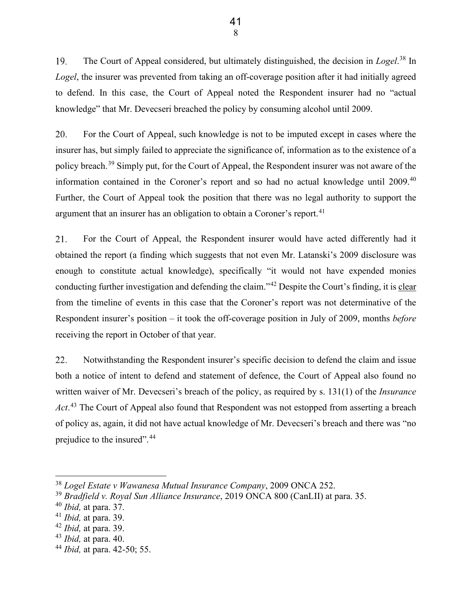The Court of Appeal considered, but ultimately distinguished, the decision in *Logel*. [38](#page-10-0) In 19. *Logel*, the insurer was prevented from taking an off-coverage position after it had initially agreed to defend. In this case, the Court of Appeal noted the Respondent insurer had no "actual knowledge" that Mr. Devecseri breached the policy by consuming alcohol until 2009.

For the Court of Appeal, such knowledge is not to be imputed except in cases where the 20. insurer has, but simply failed to appreciate the significance of, information as to the existence of a policy breach.<sup>[39](#page-10-1)</sup> Simply put, for the Court of Appeal, the Respondent insurer was not aware of the information contained in the Coroner's report and so had no actual knowledge until 2009. [40](#page-10-2) Further, the Court of Appeal took the position that there was no legal authority to support the argument that an insurer has an obligation to obtain a Coroner's report.<sup>[41](#page-10-3)</sup>

For the Court of Appeal, the Respondent insurer would have acted differently had it 21. obtained the report (a finding which suggests that not even Mr. Latanski's 2009 disclosure was enough to constitute actual knowledge), specifically "it would not have expended monies conducting further investigation and defending the claim."[42](#page-10-4) Despite the Court's finding, it is clear from the timeline of events in this case that the Coroner's report was not determinative of the Respondent insurer's position – it took the off-coverage position in July of 2009, months *before* receiving the report in October of that year.

22. Notwithstanding the Respondent insurer's specific decision to defend the claim and issue both a notice of intent to defend and statement of defence, the Court of Appeal also found no written waiver of Mr. Devecseri's breach of the policy, as required by s. 131(1) of the *Insurance Act*. [43](#page-10-5) The Court of Appeal also found that Respondent was not estopped from asserting a breach of policy as, again, it did not have actual knowledge of Mr. Devecseri's breach and there was "no prejudice to the insured".[44](#page-10-6)

<span id="page-10-0"></span><sup>38</sup> *Logel Estate v Wawanesa Mutual Insurance Company*, 2009 ONCA 252.

<span id="page-10-1"></span><sup>39</sup> *Bradfield v. Royal Sun Alliance Insurance*, 2019 ONCA 800 (CanLII) at para. 35.

<span id="page-10-2"></span><sup>40</sup> *Ibid,* at para. 37.

<span id="page-10-3"></span><sup>41</sup> *Ibid,* at para. 39.

<span id="page-10-4"></span><sup>42</sup> *Ibid,* at para. 39.

<span id="page-10-5"></span><sup>43</sup> *Ibid,* at para. 40.

<span id="page-10-6"></span><sup>44</sup> *Ibid,* at para. 42-50; 55.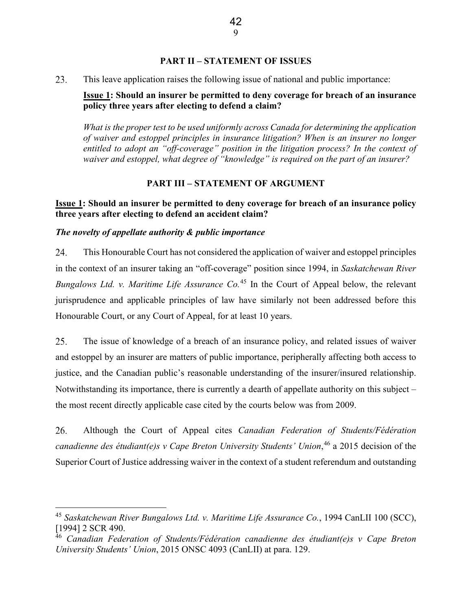### **PART II – STATEMENT OF ISSUES**

23. This leave application raises the following issue of national and public importance:

# **Issue 1: Should an insurer be permitted to deny coverage for breach of an insurance policy three years after electing to defend a claim?**

*What is the proper test to be used uniformly across Canada for determining the application of waiver and estoppel principles in insurance litigation? When is an insurer no longer entitled to adopt an "off-coverage" position in the litigation process? In the context of waiver and estoppel, what degree of "knowledge" is required on the part of an insurer?* 

### **PART III – STATEMENT OF ARGUMENT**

# **Issue 1: Should an insurer be permitted to deny coverage for breach of an insurance policy three years after electing to defend an accident claim?**

#### *The novelty of appellate authority & public importance*

 $24$ This Honourable Court has not considered the application of waiver and estoppel principles in the context of an insurer taking an "off-coverage" position since 1994, in *Saskatchewan River Bungalows Ltd. v. Maritime Life Assurance Co.*[45](#page-11-0) In the Court of Appeal below, the relevant jurisprudence and applicable principles of law have similarly not been addressed before this Honourable Court, or any Court of Appeal, for at least 10 years.

25. The issue of knowledge of a breach of an insurance policy, and related issues of waiver and estoppel by an insurer are matters of public importance, peripherally affecting both access to justice, and the Canadian public's reasonable understanding of the insurer/insured relationship. Notwithstanding its importance, there is currently a dearth of appellate authority on this subject – the most recent directly applicable case cited by the courts below was from 2009.

26. Although the Court of Appeal cites *Canadian Federation of Students/Fédération canadienne des étudiant(e)s v Cape Breton University Students' Union*, [46](#page-11-1) a 2015 decision of the Superior Court of Justice addressing waiver in the context of a student referendum and outstanding

<span id="page-11-0"></span><sup>45</sup> *Saskatchewan River Bungalows Ltd. v. Maritime Life Assurance Co.*, 1994 CanLII 100 (SCC), [1994] 2 SCR 490.

<span id="page-11-1"></span><sup>46</sup> *Canadian Federation of Students/Fédération canadienne des étudiant(e)s v Cape Breton University Students' Union*, 2015 ONSC 4093 (CanLII) at para. 129.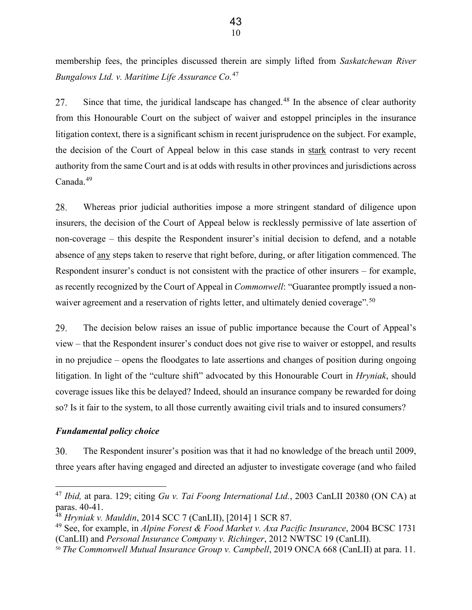membership fees, the principles discussed therein are simply lifted from *Saskatchewan River Bungalows Ltd. v. Maritime Life Assurance Co.*[47](#page-12-0)

Since that time, the juridical landscape has changed. $48$  In the absence of clear authority 27. from this Honourable Court on the subject of waiver and estoppel principles in the insurance litigation context, there is a significant schism in recent jurisprudence on the subject. For example, the decision of the Court of Appeal below in this case stands in stark contrast to very recent authority from the same Court and is at odds with results in other provinces and jurisdictions across Canada.[49](#page-12-2)

Whereas prior judicial authorities impose a more stringent standard of diligence upon 28. insurers, the decision of the Court of Appeal below is recklessly permissive of late assertion of non-coverage – this despite the Respondent insurer's initial decision to defend, and a notable absence of any steps taken to reserve that right before, during, or after litigation commenced. The Respondent insurer's conduct is not consistent with the practice of other insurers – for example, as recently recognized by the Court of Appeal in *Commonwell*: "Guarantee promptly issued a non-waiver agreement and a reservation of rights letter, and ultimately denied coverage".<sup>[50](#page-12-3)</sup>

29. The decision below raises an issue of public importance because the Court of Appeal's view – that the Respondent insurer's conduct does not give rise to waiver or estoppel, and results in no prejudice – opens the floodgates to late assertions and changes of position during ongoing litigation. In light of the "culture shift" advocated by this Honourable Court in *Hryniak*, should coverage issues like this be delayed? Indeed, should an insurance company be rewarded for doing so? Is it fair to the system, to all those currently awaiting civil trials and to insured consumers?

#### *Fundamental policy choice*

30. The Respondent insurer's position was that it had no knowledge of the breach until 2009, three years after having engaged and directed an adjuster to investigate coverage (and who failed

<span id="page-12-0"></span><sup>47</sup> *Ibid,* at para. 129; citing *Gu v. Tai Foong International Ltd.*, 2003 CanLII 20380 (ON CA) at paras. 40-41.

<span id="page-12-1"></span><sup>48</sup> *Hryniak v. Mauldin*, 2014 SCC 7 (CanLII), [2014] 1 SCR 87.

<span id="page-12-2"></span><sup>49</sup> See, for example, in *Alpine Forest & Food Market v. Axa Pacific Insurance*, 2004 BCSC 1731 (CanLII) and *Personal Insurance Company v. Richinger*, 2012 NWTSC 19 (CanLII). 50 *The Commonwell Mutual Insurance Group v. Campbell*, 2019 ONCA 668 (CanLII) at para. 11.

<span id="page-12-3"></span>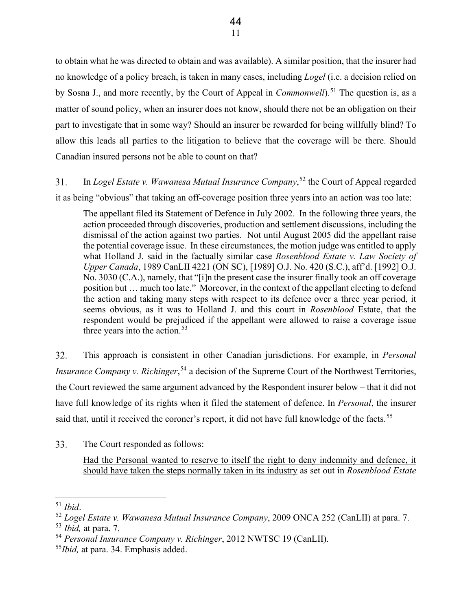to obtain what he was directed to obtain and was available). A similar position, that the insurer had no knowledge of a policy breach, is taken in many cases, including *Logel* (i.e. a decision relied on by Sosna J., and more recently, by the Court of Appeal in *Commonwell*).<sup>[51](#page-13-0)</sup> The question is, as a matter of sound policy, when an insurer does not know, should there not be an obligation on their part to investigate that in some way? Should an insurer be rewarded for being willfully blind? To allow this leads all parties to the litigation to believe that the coverage will be there. Should Canadian insured persons not be able to count on that?

In *Logel Estate v. Wawanesa Mutual Insurance Company*, [52](#page-13-1) the Court of Appeal regarded 31.

it as being "obvious" that taking an off-coverage position three years into an action was too late:

The appellant filed its Statement of Defence in July 2002. In the following three years, the action proceeded through discoveries, production and settlement discussions, including the dismissal of the action against two parties. Not until August 2005 did the appellant raise the potential coverage issue. In these circumstances, the motion judge was entitled to apply what Holland J. said in the factually similar case *Rosenblood Estate v. Law Society of Upper Canada*, 1989 CanLII 4221 (ON SC), [1989] O.J. No. 420 (S.C.), aff'd. [1992] O.J. No. 3030 (C.A.), namely, that "[i]n the present case the insurer finally took an off coverage position but … much too late." Moreover, in the context of the appellant electing to defend the action and taking many steps with respect to its defence over a three year period, it seems obvious, as it was to Holland J. and this court in *Rosenblood* Estate, that the respondent would be prejudiced if the appellant were allowed to raise a coverage issue three years into the action.<sup>[53](#page-13-2)</sup>

32. This approach is consistent in other Canadian jurisdictions. For example, in *Personal Insurance Company v. Richinger*, [54](#page-13-3) a decision of the Supreme Court of the Northwest Territories, the Court reviewed the same argument advanced by the Respondent insurer below – that it did not have full knowledge of its rights when it filed the statement of defence. In *Personal*, the insurer said that, until it received the coroner's report, it did not have full knowledge of the facts.<sup>[55](#page-13-4)</sup>

33. The Court responded as follows:

> Had the Personal wanted to reserve to itself the right to deny indemnity and defence, it should have taken the steps normally taken in its industry as set out in *Rosenblood Estate*

<span id="page-13-1"></span><span id="page-13-0"></span><sup>51</sup> *Ibid*. 52 *Logel Estate v. Wawanesa Mutual Insurance Company*, 2009 ONCA 252 (CanLII) at para. 7.

<span id="page-13-2"></span><sup>53</sup> *Ibid,* at para. 7.

<span id="page-13-3"></span><sup>54</sup> *Personal Insurance Company v. Richinger*, 2012 NWTSC 19 (CanLII).

<span id="page-13-4"></span><sup>55</sup>*Ibid,* at para. 34. Emphasis added.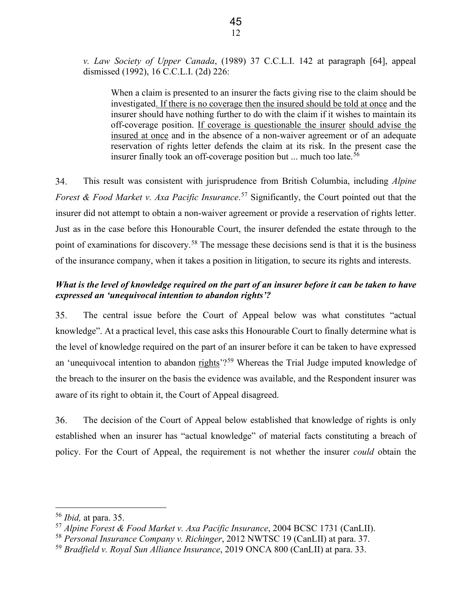*v. Law Society of Upper Canada*, (1989) 37 C.C.L.I. 142 at paragraph [64], appeal dismissed (1992), 16 C.C.L.I. (2d) 226:

When a claim is presented to an insurer the facts giving rise to the claim should be investigated. If there is no coverage then the insured should be told at once and the insurer should have nothing further to do with the claim if it wishes to maintain its off-coverage position. If coverage is questionable the insurer should advise the insured at once and in the absence of a non-waiver agreement or of an adequate reservation of rights letter defends the claim at its risk. In the present case the insurer finally took an off-coverage position but  $\ldots$  much too late.<sup>[56](#page-14-0)</sup>

34. This result was consistent with jurisprudence from British Columbia, including *Alpine Forest & Food Market v. Axa Pacific Insurance*. [57](#page-14-1) Significantly, the Court pointed out that the insurer did not attempt to obtain a non-waiver agreement or provide a reservation of rights letter. Just as in the case before this Honourable Court, the insurer defended the estate through to the point of examinations for discovery.<sup>[58](#page-14-2)</sup> The message these decisions send is that it is the business of the insurance company, when it takes a position in litigation, to secure its rights and interests.

# *What is the level of knowledge required on the part of an insurer before it can be taken to have expressed an 'unequivocal intention to abandon rights'?*

35. The central issue before the Court of Appeal below was what constitutes "actual knowledge". At a practical level, this case asks this Honourable Court to finally determine what is the level of knowledge required on the part of an insurer before it can be taken to have expressed an 'unequivocal intention to abandon rights'?<sup>[59](#page-14-3)</sup> Whereas the Trial Judge imputed knowledge of the breach to the insurer on the basis the evidence was available, and the Respondent insurer was aware of its right to obtain it, the Court of Appeal disagreed.

36. The decision of the Court of Appeal below established that knowledge of rights is only established when an insurer has "actual knowledge" of material facts constituting a breach of policy. For the Court of Appeal, the requirement is not whether the insurer *could* obtain the

<span id="page-14-0"></span><sup>56</sup> *Ibid,* at para. 35.

<span id="page-14-1"></span><sup>57</sup> *Alpine Forest & Food Market v. Axa Pacific Insurance*, 2004 BCSC 1731 (CanLII).

<span id="page-14-2"></span><sup>58</sup> *Personal Insurance Company v. Richinger*, 2012 NWTSC 19 (CanLII) at para. 37.

<span id="page-14-3"></span><sup>59</sup> *Bradfield v. Royal Sun Alliance Insurance*, 2019 ONCA 800 (CanLII) at para. 33.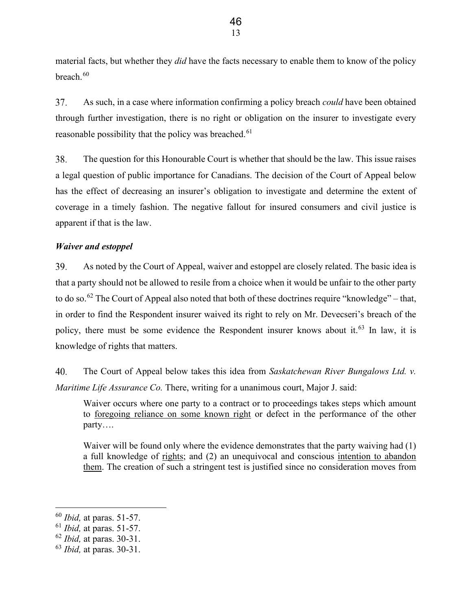material facts, but whether they *did* have the facts necessary to enable them to know of the policy breach.<sup>[60](#page-15-0)</sup>

37. As such, in a case where information confirming a policy breach *could* have been obtained through further investigation, there is no right or obligation on the insurer to investigate every reasonable possibility that the policy was breached.<sup>[61](#page-15-1)</sup>

38. The question for this Honourable Court is whether that should be the law. This issue raises a legal question of public importance for Canadians. The decision of the Court of Appeal below has the effect of decreasing an insurer's obligation to investigate and determine the extent of coverage in a timely fashion. The negative fallout for insured consumers and civil justice is apparent if that is the law.

### *Waiver and estoppel*

39. As noted by the Court of Appeal, waiver and estoppel are closely related. The basic idea is that a party should not be allowed to resile from a choice when it would be unfair to the other party to do so.<sup>[62](#page-15-2)</sup> The Court of Appeal also noted that both of these doctrines require "knowledge" – that, in order to find the Respondent insurer waived its right to rely on Mr. Devecseri's breach of the policy, there must be some evidence the Respondent insurer knows about it.<sup>[63](#page-15-3)</sup> In law, it is knowledge of rights that matters.

40. The Court of Appeal below takes this idea from *Saskatchewan River Bungalows Ltd. v. Maritime Life Assurance Co.* There, writing for a unanimous court, Major J. said:

Waiver occurs where one party to a contract or to proceedings takes steps which amount to foregoing reliance on some known right or defect in the performance of the other party….

Waiver will be found only where the evidence demonstrates that the party waiving had (1) a full knowledge of rights; and (2) an unequivocal and conscious intention to abandon them. The creation of such a stringent test is justified since no consideration moves from

<span id="page-15-0"></span><sup>60</sup> *Ibid,* at paras. 51-57.

<span id="page-15-1"></span><sup>61</sup> *Ibid,* at paras. 51-57.

<span id="page-15-2"></span><sup>62</sup> *Ibid,* at paras. 30-31.

<span id="page-15-3"></span><sup>63</sup> *Ibid,* at paras. 30-31.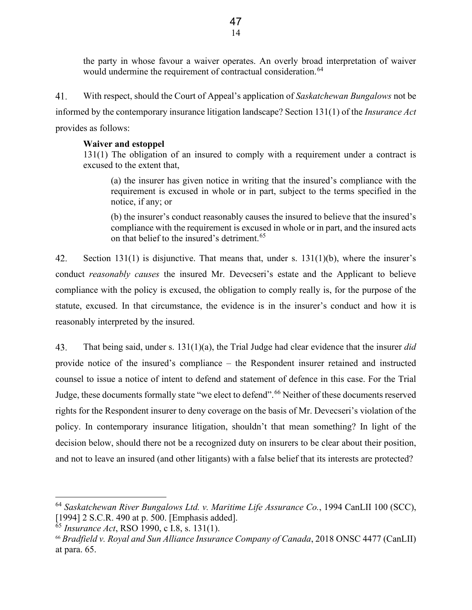the party in whose favour a waiver operates. An overly broad interpretation of waiver would undermine the requirement of contractual consideration.<sup>[64](#page-16-0)</sup>

41. With respect, should the Court of Appeal's application of *Saskatchewan Bungalows* not be informed by the contemporary insurance litigation landscape? Section 131(1) of the *Insurance Act*  provides as follows:

#### **Waiver and estoppel**

131(1) The obligation of an insured to comply with a requirement under a contract is excused to the extent that,

(a) the insurer has given notice in writing that the insured's compliance with the requirement is excused in whole or in part, subject to the terms specified in the notice, if any; or

(b) the insurer's conduct reasonably causes the insured to believe that the insured's compliance with the requirement is excused in whole or in part, and the insured acts on that belief to the insured's detriment.<sup>[65](#page-16-1)</sup>

42. Section  $131(1)$  is disjunctive. That means that, under s.  $131(1)(b)$ , where the insurer's conduct *reasonably causes* the insured Mr. Devecseri's estate and the Applicant to believe compliance with the policy is excused, the obligation to comply really is, for the purpose of the statute, excused. In that circumstance, the evidence is in the insurer's conduct and how it is reasonably interpreted by the insured.

43. That being said, under s. 131(1)(a), the Trial Judge had clear evidence that the insurer *did* provide notice of the insured's compliance – the Respondent insurer retained and instructed counsel to issue a notice of intent to defend and statement of defence in this case. For the Trial Judge, these documents formally state "we elect to defend". <sup>[66](#page-16-2)</sup> Neither of these documents reserved rights for the Respondent insurer to deny coverage on the basis of Mr. Devecseri's violation of the policy. In contemporary insurance litigation, shouldn't that mean something? In light of the decision below, should there not be a recognized duty on insurers to be clear about their position, and not to leave an insured (and other litigants) with a false belief that its interests are protected?

<span id="page-16-0"></span><sup>64</sup> *Saskatchewan River Bungalows Ltd. v. Maritime Life Assurance Co.*, 1994 CanLII 100 (SCC), [1994] 2 S.C.R. 490 at p. 500. [Emphasis added].

<span id="page-16-2"></span><span id="page-16-1"></span><sup>&</sup>lt;sup>65</sup> *Insurance Act*, RSO 1990, c I.8, s. 131(1).<br><sup>66</sup> *Bradfield v. Royal and Sun Alliance Insurance Company of Canada*, 2018 ONSC 4477 (CanLII) at para. 65.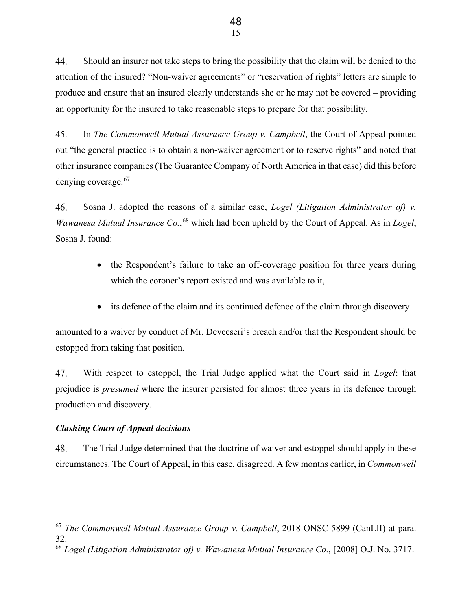44. Should an insurer not take steps to bring the possibility that the claim will be denied to the attention of the insured? "Non-waiver agreements" or "reservation of rights" letters are simple to produce and ensure that an insured clearly understands she or he may not be covered – providing an opportunity for the insured to take reasonable steps to prepare for that possibility.

45. In *The Commonwell Mutual Assurance Group v. Campbell*, the Court of Appeal pointed out "the general practice is to obtain a non-waiver agreement or to reserve rights" and noted that other insurance companies (The Guarantee Company of North America in that case) did this before denying coverage.[67](#page-17-0)

46. Sosna J. adopted the reasons of a similar case, *Logel (Litigation Administrator of) v. Wawanesa Mutual Insurance Co.*, [68](#page-17-1) which had been upheld by the Court of Appeal. As in *Logel*, Sosna J. found:

- the Respondent's failure to take an off-coverage position for three years during which the coroner's report existed and was available to it,
- its defence of the claim and its continued defence of the claim through discovery

amounted to a waiver by conduct of Mr. Devecseri's breach and/or that the Respondent should be estopped from taking that position.

With respect to estoppel, the Trial Judge applied what the Court said in *Logel*: that 47. prejudice is *presumed* where the insurer persisted for almost three years in its defence through production and discovery.

### *Clashing Court of Appeal decisions*

48. The Trial Judge determined that the doctrine of waiver and estoppel should apply in these circumstances. The Court of Appeal, in this case, disagreed. A few months earlier, in *Commonwell* 

<span id="page-17-0"></span><sup>67</sup> *The Commonwell Mutual Assurance Group v. Campbell*, 2018 ONSC 5899 (CanLII) at para. 32.

<span id="page-17-1"></span><sup>68</sup> *Logel (Litigation Administrator of) v. Wawanesa Mutual Insurance Co.*, [2008] O.J. No. 3717.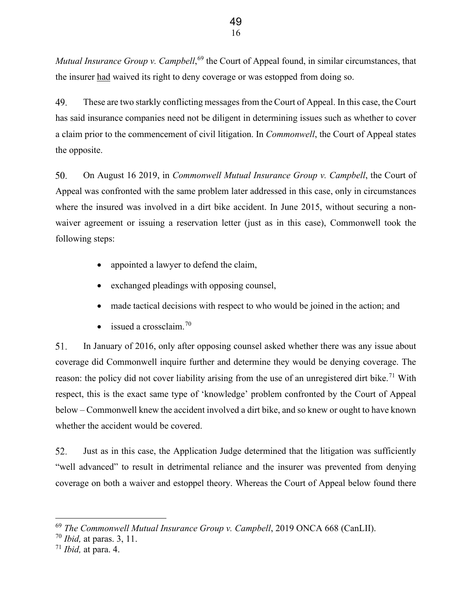*Mutual Insurance Group v. Campbell*,<sup>[69](#page-18-0)</sup> the Court of Appeal found, in similar circumstances, that the insurer had waived its right to deny coverage or was estopped from doing so.

49. These are two starkly conflicting messages from the Court of Appeal. In this case, the Court has said insurance companies need not be diligent in determining issues such as whether to cover a claim prior to the commencement of civil litigation. In *Commonwell*, the Court of Appeal states the opposite.

On August 16 2019, in *Commonwell Mutual Insurance Group v. Campbell*, the Court of  $50<sub>1</sub>$ Appeal was confronted with the same problem later addressed in this case, only in circumstances where the insured was involved in a dirt bike accident. In June 2015, without securing a nonwaiver agreement or issuing a reservation letter (just as in this case), Commonwell took the following steps:

- appointed a lawyer to defend the claim,
- exchanged pleadings with opposing counsel,
- made tactical decisions with respect to who would be joined in the action; and
- issued a crossclaim. $70$

51. In January of 2016, only after opposing counsel asked whether there was any issue about coverage did Commonwell inquire further and determine they would be denying coverage. The reason: the policy did not cover liability arising from the use of an unregistered dirt bike.<sup>[71](#page-18-2)</sup> With respect, this is the exact same type of 'knowledge' problem confronted by the Court of Appeal below – Commonwell knew the accident involved a dirt bike, and so knew or ought to have known whether the accident would be covered.

52. Just as in this case, the Application Judge determined that the litigation was sufficiently "well advanced" to result in detrimental reliance and the insurer was prevented from denying coverage on both a waiver and estoppel theory. Whereas the Court of Appeal below found there

<span id="page-18-0"></span><sup>69</sup> *The Commonwell Mutual Insurance Group v. Campbell*, 2019 ONCA 668 (CanLII).

<span id="page-18-1"></span><sup>70</sup> *Ibid,* at paras. 3, 11.

<span id="page-18-2"></span><sup>71</sup> *Ibid,* at para. 4.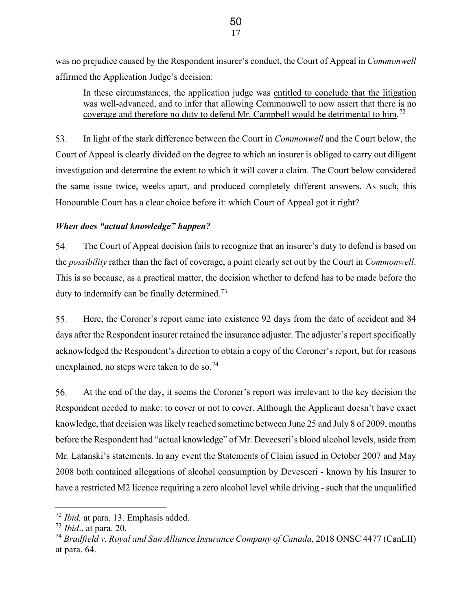was no prejudice caused by the Respondent insurer's conduct, the Court of Appeal in *Commonwell*  affirmed the Application Judge's decision:

In these circumstances, the application judge was entitled to conclude that the litigation was well-advanced, and to infer that allowing Commonwell to now assert that there is no coverage and therefore no duty to defend Mr. Campbell would be detrimental to him.<sup>[72](#page-19-0)</sup>

In light of the stark difference between the Court in *Commonwell* and the Court below, the 53. Court of Appeal is clearly divided on the degree to which an insurer is obliged to carry out diligent investigation and determine the extent to which it will cover a claim. The Court below considered the same issue twice, weeks apart, and produced completely different answers. As such, this Honourable Court has a clear choice before it: which Court of Appeal got it right?

# *When does "actual knowledge" happen?*

54. The Court of Appeal decision fails to recognize that an insurer's duty to defend is based on the *possibility* rather than the fact of coverage, a point clearly set out by the Court in *Commonwell*. This is so because, as a practical matter, the decision whether to defend has to be made before the duty to indemnify can be finally determined.<sup>[73](#page-19-1)</sup>

55. Here, the Coroner's report came into existence 92 days from the date of accident and 84 days after the Respondent insurer retained the insurance adjuster. The adjuster's report specifically acknowledged the Respondent's direction to obtain a copy of the Coroner's report, but for reasons unexplained, no steps were taken to do so.<sup>[74](#page-19-2)</sup>

56. At the end of the day, it seems the Coroner's report was irrelevant to the key decision the Respondent needed to make: to cover or not to cover. Although the Applicant doesn't have exact knowledge, that decision was likely reached sometime between June 25 and July 8 of 2009, months before the Respondent had "actual knowledge" of Mr. Devecseri's blood alcohol levels, aside from Mr. Latanski's statements. In any event the Statements of Claim issued in October 2007 and May 2008 both contained allegations of alcohol consumption by Devesceri - known by his Insurer to have a restricted M2 licence requiring a zero alcohol level while driving - such that the unqualified

<span id="page-19-0"></span><sup>72</sup> *Ibid,* at para. 13. Emphasis added.

<span id="page-19-1"></span><sup>73</sup> *Ibid*., at para. 20.

<span id="page-19-2"></span><sup>74</sup> *Bradfield v. Royal and Sun Alliance Insurance Company of Canada*, 2018 ONSC 4477 (CanLII) at para. 64.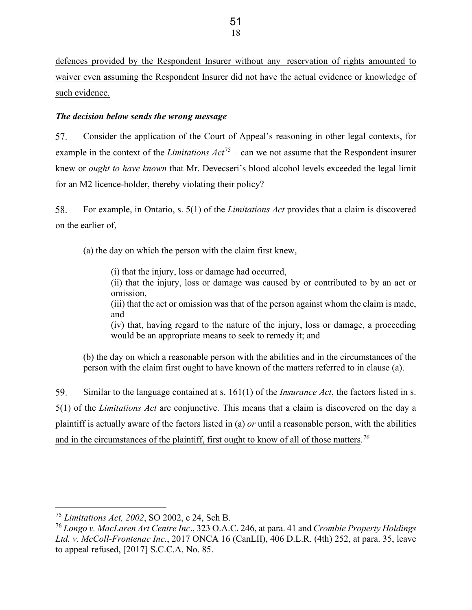defences provided by the Respondent Insurer without any reservation of rights amounted to waiver even assuming the Respondent Insurer did not have the actual evidence or knowledge of such evidence.

# *The decision below sends the wrong message*

Consider the application of the Court of Appeal's reasoning in other legal contexts, for 57. example in the context of the *Limitations Act*[75](#page-20-0) – can we not assume that the Respondent insurer knew or *ought to have known* that Mr. Devecseri's blood alcohol levels exceeded the legal limit for an M2 licence-holder, thereby violating their policy?

58. For example, in Ontario, [s. 5\(1\)](https://www.canlii.org/en/on/laws/stat/so-2002-c-24-sch-b/latest/so-2002-c-24-sch-b.html#sec5subsec1_smooth) of the *Limitations Act* provides that a claim is discovered on the earlier of,

(a) the day on which the person with the claim first knew,

(i) that the injury, loss or damage had occurred,

(ii) that the injury, loss or damage was caused by or contributed to by an act or omission,

(iii) that the act or omission was that of the person against whom the claim is made, and

(iv) that, having regard to the nature of the injury, loss or damage, a proceeding would be an appropriate means to seek to remedy it; and

(b) the day on which a reasonable person with the abilities and in the circumstances of the person with the claim first ought to have known of the matters referred to in clause (a).

59. Similar to the language contained at s. 161(1) of the *Insurance Act*, the factors listed in s. 5(1) of the *Limitations Act* are conjunctive. This means that a claim is discovered on the day a plaintiff is actually aware of the factors listed in (a) *or* until a reasonable person, with the abilities and in the circumstances of the plaintiff, first ought to know of all of those matters.<sup>[76](#page-20-1)</sup>

<span id="page-20-0"></span><sup>75</sup> *Limitations Act, 2002*, SO 2002, c 24, Sch B.

<span id="page-20-1"></span><sup>76</sup> *Longo v. MacLaren Art Centre Inc*., 323 O.A.C. 246, at para. 41 and *Crombie Property Holdings Ltd. v. McColl-Frontenac Inc.*, 2017 ONCA 16 (CanLII), 406 D.L.R. (4th) 252, at para. 35, leave to appeal refused, [2017] S.C.C.A. No. 85.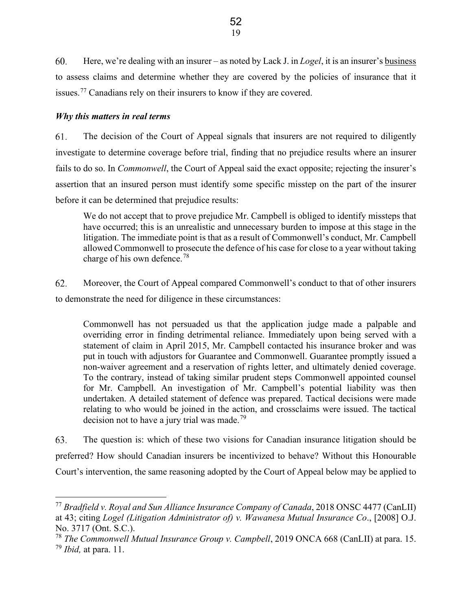60. Here, we're dealing with an insurer – as noted by Lack J. in *Logel*, it is an insurer's **business** to assess claims and determine whether they are covered by the policies of insurance that it issues.[77](#page-21-0) Canadians rely on their insurers to know if they are covered.

### *Why this matters in real terms*

61. The decision of the Court of Appeal signals that insurers are not required to diligently investigate to determine coverage before trial, finding that no prejudice results where an insurer fails to do so. In *Commonwell*, the Court of Appeal said the exact opposite; rejecting the insurer's assertion that an insured person must identify some specific misstep on the part of the insurer before it can be determined that prejudice results:

We do not accept that to prove prejudice Mr. Campbell is obliged to identify missteps that have occurred; this is an unrealistic and unnecessary burden to impose at this stage in the litigation. The immediate point is that as a result of Commonwell's conduct, Mr. Campbell allowed Commonwell to prosecute the defence of his case for close to a year without taking charge of his own defence.[78](#page-21-1)

62. Moreover, the Court of Appeal compared Commonwell's conduct to that of other insurers to demonstrate the need for diligence in these circumstances:

Commonwell has not persuaded us that the application judge made a palpable and overriding error in finding detrimental reliance. Immediately upon being served with a statement of claim in April 2015, Mr. Campbell contacted his insurance broker and was put in touch with adjustors for Guarantee and Commonwell. Guarantee promptly issued a non-waiver agreement and a reservation of rights letter, and ultimately denied coverage. To the contrary, instead of taking similar prudent steps Commonwell appointed counsel for Mr. Campbell. An investigation of Mr. Campbell's potential liability was then undertaken. A detailed statement of defence was prepared. Tactical decisions were made relating to who would be joined in the action, and crossclaims were issued. The tactical decision not to have a jury trial was made.<sup>[79](#page-21-2)</sup>

63. The question is: which of these two visions for Canadian insurance litigation should be preferred? How should Canadian insurers be incentivized to behave? Without this Honourable Court's intervention, the same reasoning adopted by the Court of Appeal below may be applied to

<span id="page-21-0"></span><sup>77</sup> *Bradfield v. Royal and Sun Alliance Insurance Company of Canada*, 2018 ONSC 4477 (CanLII) at 43; citing *Logel (Litigation Administrator of) v. Wawanesa Mutual Insurance Co*., [2008] O.J. No. 3717 (Ont. S.C.).

<span id="page-21-2"></span><span id="page-21-1"></span><sup>78</sup> *The Commonwell Mutual Insurance Group v. Campbell*, 2019 ONCA 668 (CanLII) at para. 15. <sup>79</sup> *Ibid,* at para. 11.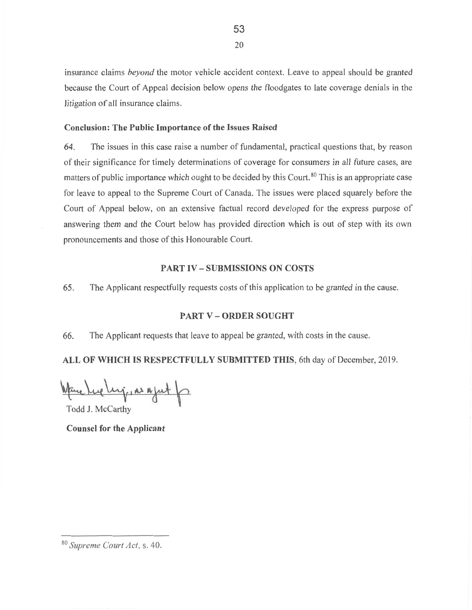insurance claims beyond the motor vehicle accident context. Leave to appeal should be granted because the Court of Appeal decision below opens the floodgates to late coverage denials in the litigation of all insurance claims.

#### Conclusion: The Public Importance of the Issues Raised

64. The issues in this case raise a number of fundamental, practical questions that, by reason of their significance for timely determinations of coverage for consumers in all future cases, are matters of public importance which ought to be decided by this Court.<sup>80</sup> This is an appropriate case for leave to appeal to the Supreme Court of Canada. The issues were placed squarely before the Court of Appeal below, on an extensive factual record developed for the express purpose of answering them and the Court below has provided direction which is out of step with its own pronouncements and those of this Honourable Court.

#### PART IV – SUBMISSIONS ON COSTS

65 The Applicant respectfully requests costs of this application to be granted in the cause.

#### PART V - ORDER SOUGHT

66. The Applicant requests that leave to appeal be granted, with costs in the cause.

ALL OF WHICH IS RESPECTFULLY SUBMITTED THIS, 6th day of December, 2019.

Lucluj, as a jut of

Todd J. McCarthy

Counsel for the Applicant

20

<sup>80</sup> Supreme Court Act, s. 40.